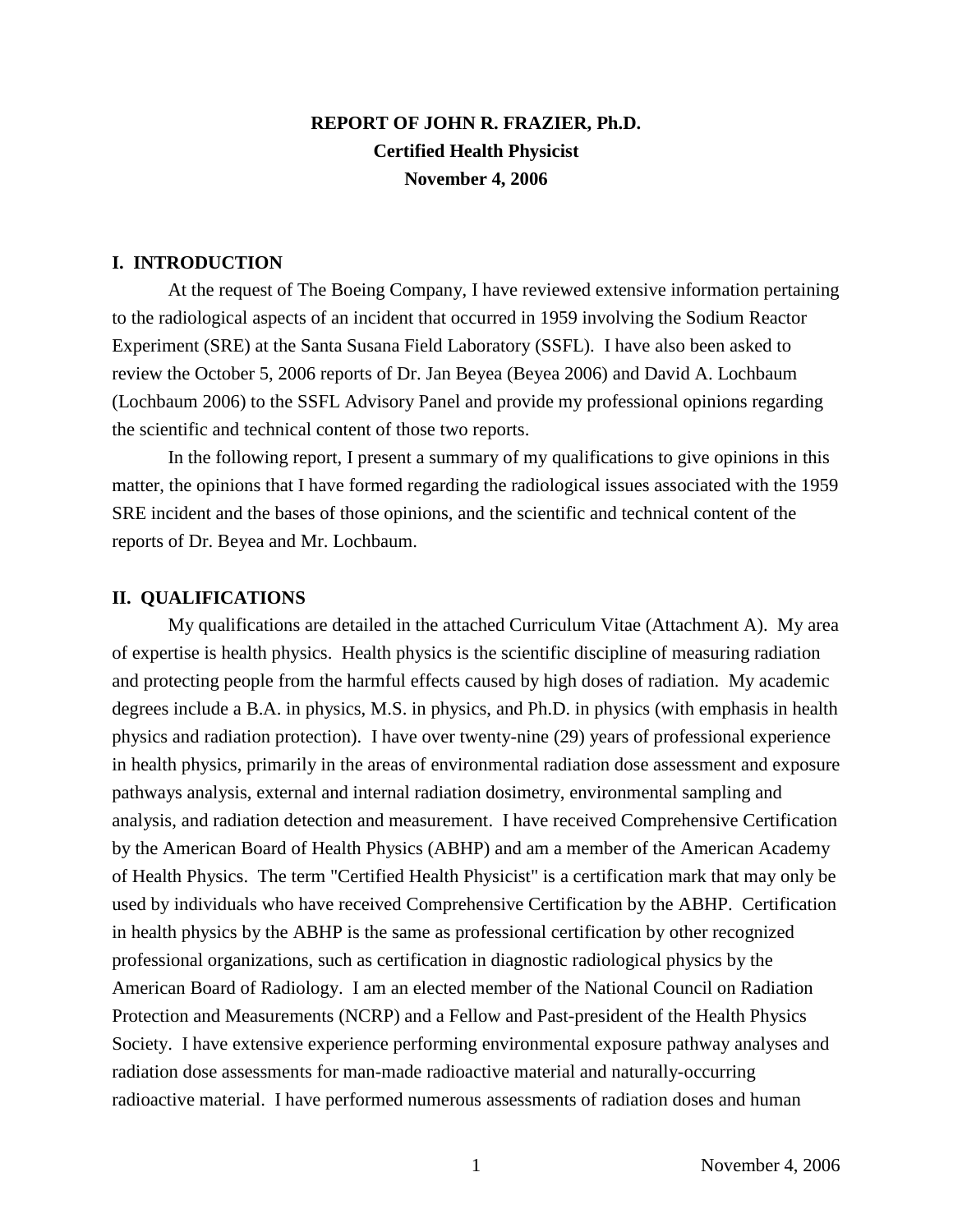# **REPORT OF JOHN R. FRAZIER, Ph.D. Certified Health Physicist November 4, 2006**

### **I. INTRODUCTION**

At the request of The Boeing Company, I have reviewed extensive information pertaining to the radiological aspects of an incident that occurred in 1959 involving the Sodium Reactor Experiment (SRE) at the Santa Susana Field Laboratory (SSFL). I have also been asked to review the October 5, 2006 reports of Dr. Jan Beyea (Beyea 2006) and David A. Lochbaum (Lochbaum 2006) to the SSFL Advisory Panel and provide my professional opinions regarding the scientific and technical content of those two reports.

In the following report, I present a summary of my qualifications to give opinions in this matter, the opinions that I have formed regarding the radiological issues associated with the 1959 SRE incident and the bases of those opinions, and the scientific and technical content of the reports of Dr. Beyea and Mr. Lochbaum.

### **II. QUALIFICATIONS**

My qualifications are detailed in the attached Curriculum Vitae (Attachment A). My area of expertise is health physics. Health physics is the scientific discipline of measuring radiation and protecting people from the harmful effects caused by high doses of radiation. My academic degrees include a B.A. in physics, M.S. in physics, and Ph.D. in physics (with emphasis in health physics and radiation protection). I have over twenty-nine (29) years of professional experience in health physics, primarily in the areas of environmental radiation dose assessment and exposure pathways analysis, external and internal radiation dosimetry, environmental sampling and analysis, and radiation detection and measurement. I have received Comprehensive Certification by the American Board of Health Physics (ABHP) and am a member of the American Academy of Health Physics. The term "Certified Health Physicist" is a certification mark that may only be used by individuals who have received Comprehensive Certification by the ABHP. Certification in health physics by the ABHP is the same as professional certification by other recognized professional organizations, such as certification in diagnostic radiological physics by the American Board of Radiology. I am an elected member of the National Council on Radiation Protection and Measurements (NCRP) and a Fellow and Past-president of the Health Physics Society. I have extensive experience performing environmental exposure pathway analyses and radiation dose assessments for man-made radioactive material and naturally-occurring radioactive material. I have performed numerous assessments of radiation doses and human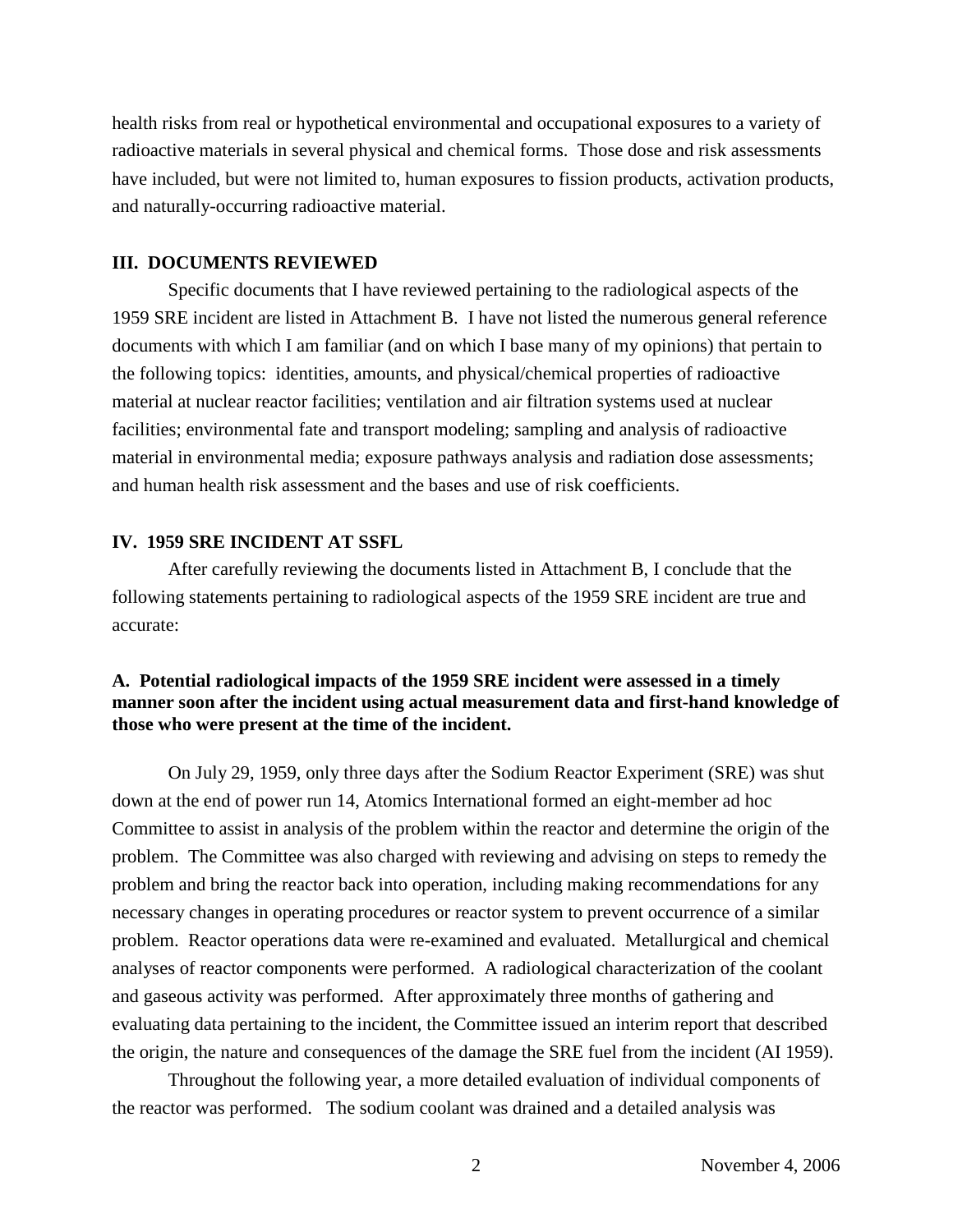health risks from real or hypothetical environmental and occupational exposures to a variety of radioactive materials in several physical and chemical forms. Those dose and risk assessments have included, but were not limited to, human exposures to fission products, activation products, and naturally-occurring radioactive material.

### **III. DOCUMENTS REVIEWED**

Specific documents that I have reviewed pertaining to the radiological aspects of the 1959 SRE incident are listed in Attachment B. I have not listed the numerous general reference documents with which I am familiar (and on which I base many of my opinions) that pertain to the following topics: identities, amounts, and physical/chemical properties of radioactive material at nuclear reactor facilities; ventilation and air filtration systems used at nuclear facilities; environmental fate and transport modeling; sampling and analysis of radioactive material in environmental media; exposure pathways analysis and radiation dose assessments; and human health risk assessment and the bases and use of risk coefficients.

### **IV. 1959 SRE INCIDENT AT SSFL**

After carefully reviewing the documents listed in Attachment B, I conclude that the following statements pertaining to radiological aspects of the 1959 SRE incident are true and accurate:

### **A. Potential radiological impacts of the 1959 SRE incident were assessed in a timely manner soon after the incident using actual measurement data and first-hand knowledge of those who were present at the time of the incident.**

On July 29, 1959, only three days after the Sodium Reactor Experiment (SRE) was shut down at the end of power run 14, Atomics International formed an eight-member ad hoc Committee to assist in analysis of the problem within the reactor and determine the origin of the problem. The Committee was also charged with reviewing and advising on steps to remedy the problem and bring the reactor back into operation, including making recommendations for any necessary changes in operating procedures or reactor system to prevent occurrence of a similar problem. Reactor operations data were re-examined and evaluated. Metallurgical and chemical analyses of reactor components were performed. A radiological characterization of the coolant and gaseous activity was performed. After approximately three months of gathering and evaluating data pertaining to the incident, the Committee issued an interim report that described the origin, the nature and consequences of the damage the SRE fuel from the incident (AI 1959).

Throughout the following year, a more detailed evaluation of individual components of the reactor was performed. The sodium coolant was drained and a detailed analysis was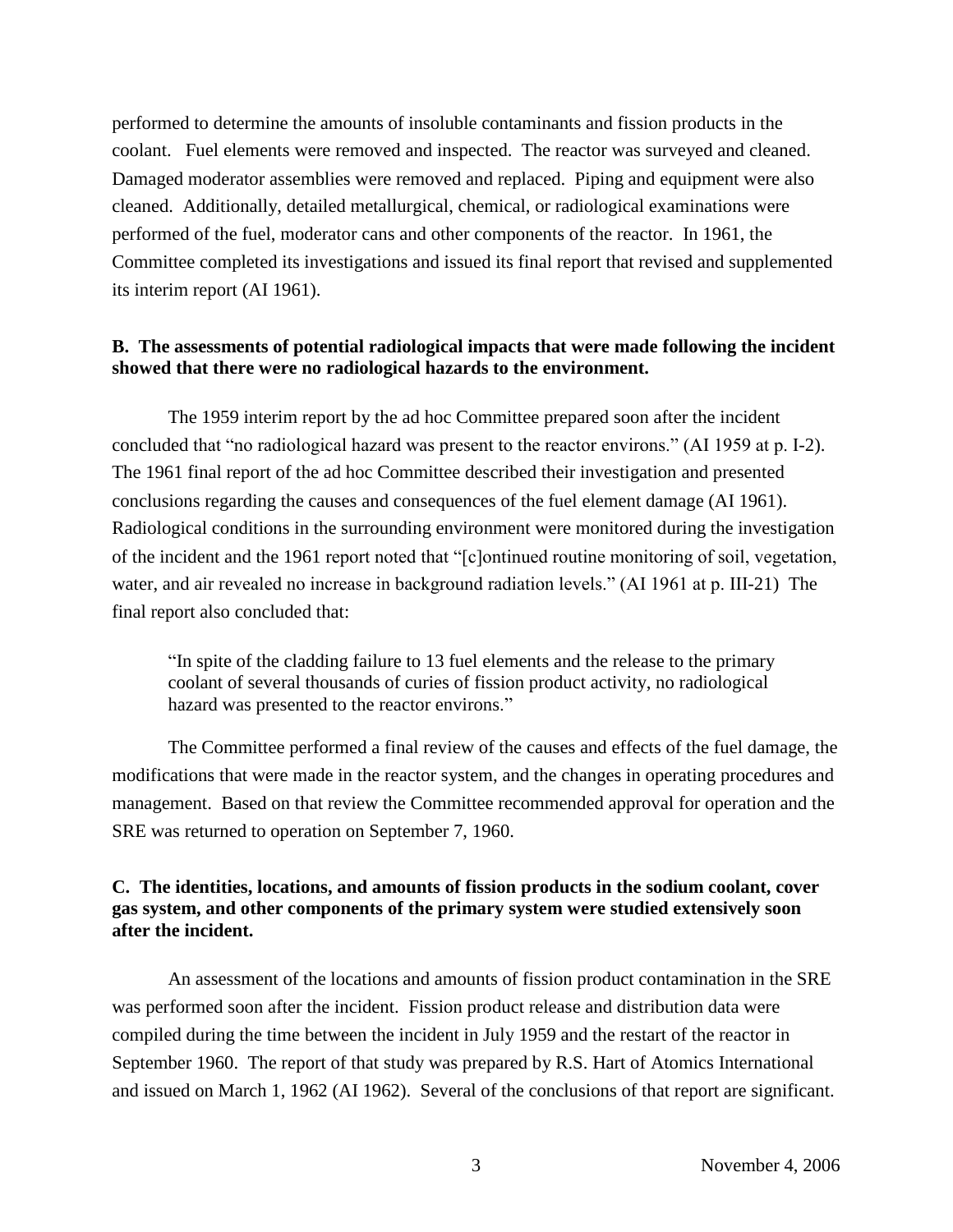performed to determine the amounts of insoluble contaminants and fission products in the coolant. Fuel elements were removed and inspected. The reactor was surveyed and cleaned. Damaged moderator assemblies were removed and replaced. Piping and equipment were also cleaned. Additionally, detailed metallurgical, chemical, or radiological examinations were performed of the fuel, moderator cans and other components of the reactor. In 1961, the Committee completed its investigations and issued its final report that revised and supplemented its interim report (AI 1961).

## **B. The assessments of potential radiological impacts that were made following the incident showed that there were no radiological hazards to the environment.**

The 1959 interim report by the ad hoc Committee prepared soon after the incident concluded that "no radiological hazard was present to the reactor environs." (AI 1959 at p. I-2). The 1961 final report of the ad hoc Committee described their investigation and presented conclusions regarding the causes and consequences of the fuel element damage (AI 1961). Radiological conditions in the surrounding environment were monitored during the investigation of the incident and the 1961 report noted that "[c]ontinued routine monitoring of soil, vegetation, water, and air revealed no increase in background radiation levels." (AI 1961 at p. III-21) The final report also concluded that:

"In spite of the cladding failure to 13 fuel elements and the release to the primary coolant of several thousands of curies of fission product activity, no radiological hazard was presented to the reactor environs."

The Committee performed a final review of the causes and effects of the fuel damage, the modifications that were made in the reactor system, and the changes in operating procedures and management. Based on that review the Committee recommended approval for operation and the SRE was returned to operation on September 7, 1960.

## **C. The identities, locations, and amounts of fission products in the sodium coolant, cover gas system, and other components of the primary system were studied extensively soon after the incident.**

An assessment of the locations and amounts of fission product contamination in the SRE was performed soon after the incident. Fission product release and distribution data were compiled during the time between the incident in July 1959 and the restart of the reactor in September 1960. The report of that study was prepared by R.S. Hart of Atomics International and issued on March 1, 1962 (AI 1962). Several of the conclusions of that report are significant.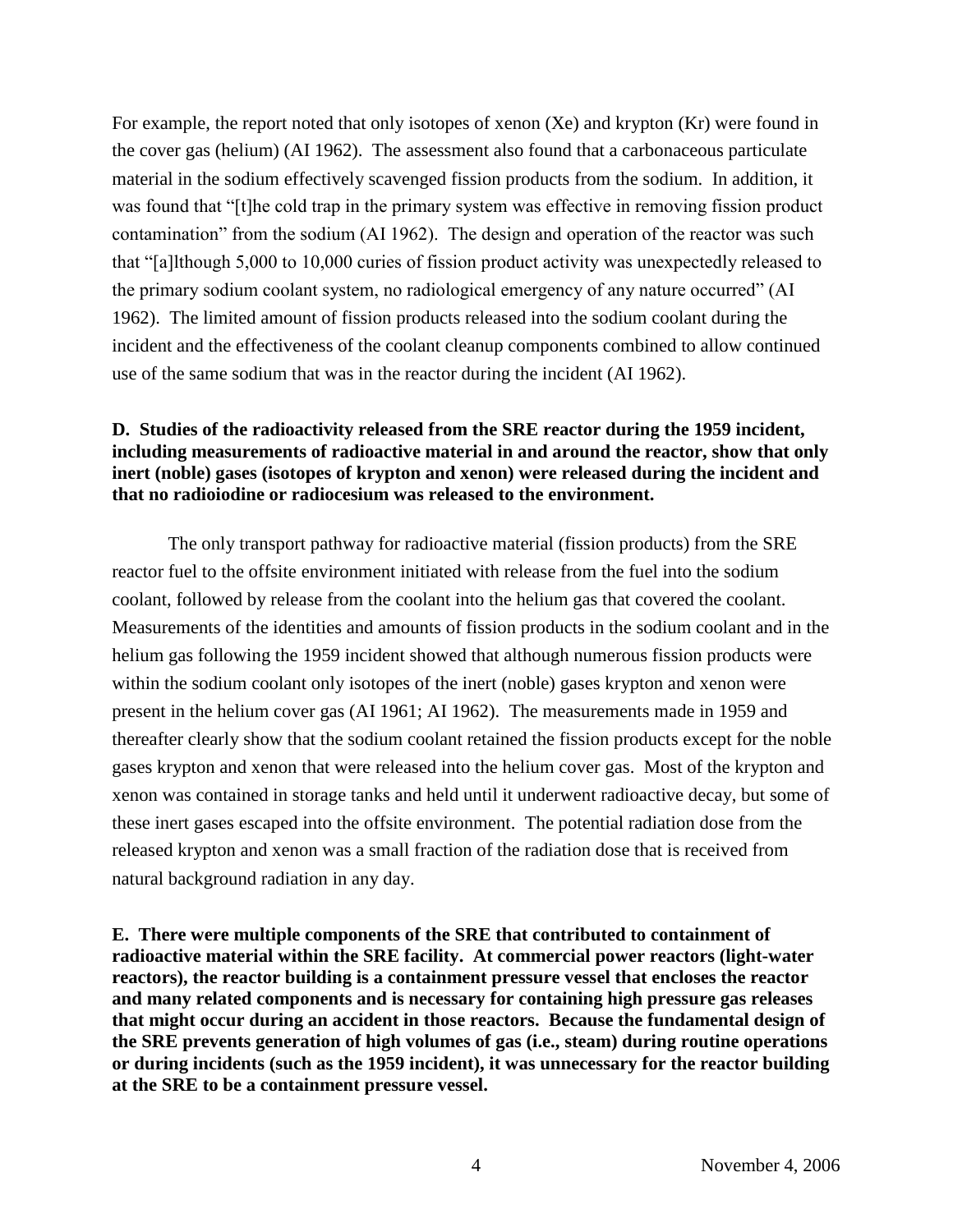For example, the report noted that only isotopes of xenon (Xe) and krypton (Kr) were found in the cover gas (helium) (AI 1962). The assessment also found that a carbonaceous particulate material in the sodium effectively scavenged fission products from the sodium. In addition, it was found that "[t]he cold trap in the primary system was effective in removing fission product contamination" from the sodium (AI 1962). The design and operation of the reactor was such that "[a]lthough 5,000 to 10,000 curies of fission product activity was unexpectedly released to the primary sodium coolant system, no radiological emergency of any nature occurred" (AI 1962). The limited amount of fission products released into the sodium coolant during the incident and the effectiveness of the coolant cleanup components combined to allow continued use of the same sodium that was in the reactor during the incident (AI 1962).

## **D. Studies of the radioactivity released from the SRE reactor during the 1959 incident, including measurements of radioactive material in and around the reactor, show that only inert (noble) gases (isotopes of krypton and xenon) were released during the incident and that no radioiodine or radiocesium was released to the environment.**

The only transport pathway for radioactive material (fission products) from the SRE reactor fuel to the offsite environment initiated with release from the fuel into the sodium coolant, followed by release from the coolant into the helium gas that covered the coolant. Measurements of the identities and amounts of fission products in the sodium coolant and in the helium gas following the 1959 incident showed that although numerous fission products were within the sodium coolant only isotopes of the inert (noble) gases krypton and xenon were present in the helium cover gas (AI 1961; AI 1962). The measurements made in 1959 and thereafter clearly show that the sodium coolant retained the fission products except for the noble gases krypton and xenon that were released into the helium cover gas. Most of the krypton and xenon was contained in storage tanks and held until it underwent radioactive decay, but some of these inert gases escaped into the offsite environment. The potential radiation dose from the released krypton and xenon was a small fraction of the radiation dose that is received from natural background radiation in any day.

**E. There were multiple components of the SRE that contributed to containment of radioactive material within the SRE facility. At commercial power reactors (light-water reactors), the reactor building is a containment pressure vessel that encloses the reactor and many related components and is necessary for containing high pressure gas releases that might occur during an accident in those reactors. Because the fundamental design of the SRE prevents generation of high volumes of gas (i.e., steam) during routine operations or during incidents (such as the 1959 incident), it was unnecessary for the reactor building at the SRE to be a containment pressure vessel.**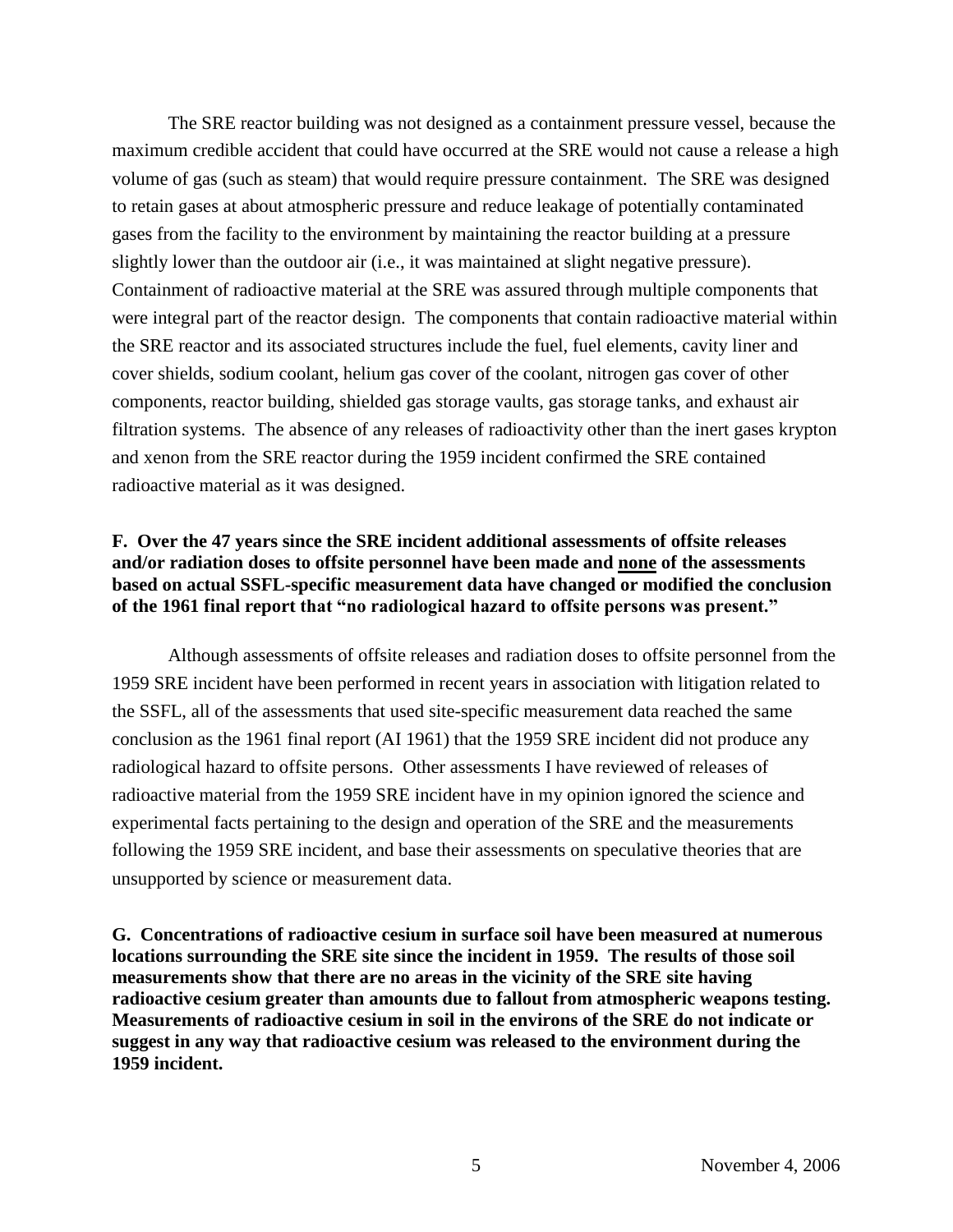The SRE reactor building was not designed as a containment pressure vessel, because the maximum credible accident that could have occurred at the SRE would not cause a release a high volume of gas (such as steam) that would require pressure containment. The SRE was designed to retain gases at about atmospheric pressure and reduce leakage of potentially contaminated gases from the facility to the environment by maintaining the reactor building at a pressure slightly lower than the outdoor air (i.e., it was maintained at slight negative pressure). Containment of radioactive material at the SRE was assured through multiple components that were integral part of the reactor design. The components that contain radioactive material within the SRE reactor and its associated structures include the fuel, fuel elements, cavity liner and cover shields, sodium coolant, helium gas cover of the coolant, nitrogen gas cover of other components, reactor building, shielded gas storage vaults, gas storage tanks, and exhaust air filtration systems. The absence of any releases of radioactivity other than the inert gases krypton and xenon from the SRE reactor during the 1959 incident confirmed the SRE contained radioactive material as it was designed.

## **F. Over the 47 years since the SRE incident additional assessments of offsite releases and/or radiation doses to offsite personnel have been made and none of the assessments based on actual SSFL-specific measurement data have changed or modified the conclusion of the 1961 final report that"noradiologicalhazardtooffsitepersonswaspresent."**

Although assessments of offsite releases and radiation doses to offsite personnel from the 1959 SRE incident have been performed in recent years in association with litigation related to the SSFL, all of the assessments that used site-specific measurement data reached the same conclusion as the 1961 final report (AI 1961) that the 1959 SRE incident did not produce any radiological hazard to offsite persons. Other assessments I have reviewed of releases of radioactive material from the 1959 SRE incident have in my opinion ignored the science and experimental facts pertaining to the design and operation of the SRE and the measurements following the 1959 SRE incident, and base their assessments on speculative theories that are unsupported by science or measurement data.

**G. Concentrations of radioactive cesium in surface soil have been measured at numerous locations surrounding the SRE site since the incident in 1959. The results of those soil measurements show that there are no areas in the vicinity of the SRE site having radioactive cesium greater than amounts due to fallout from atmospheric weapons testing. Measurements of radioactive cesium in soil in the environs of the SRE do not indicate or suggest in any way that radioactive cesium was released to the environment during the 1959 incident.**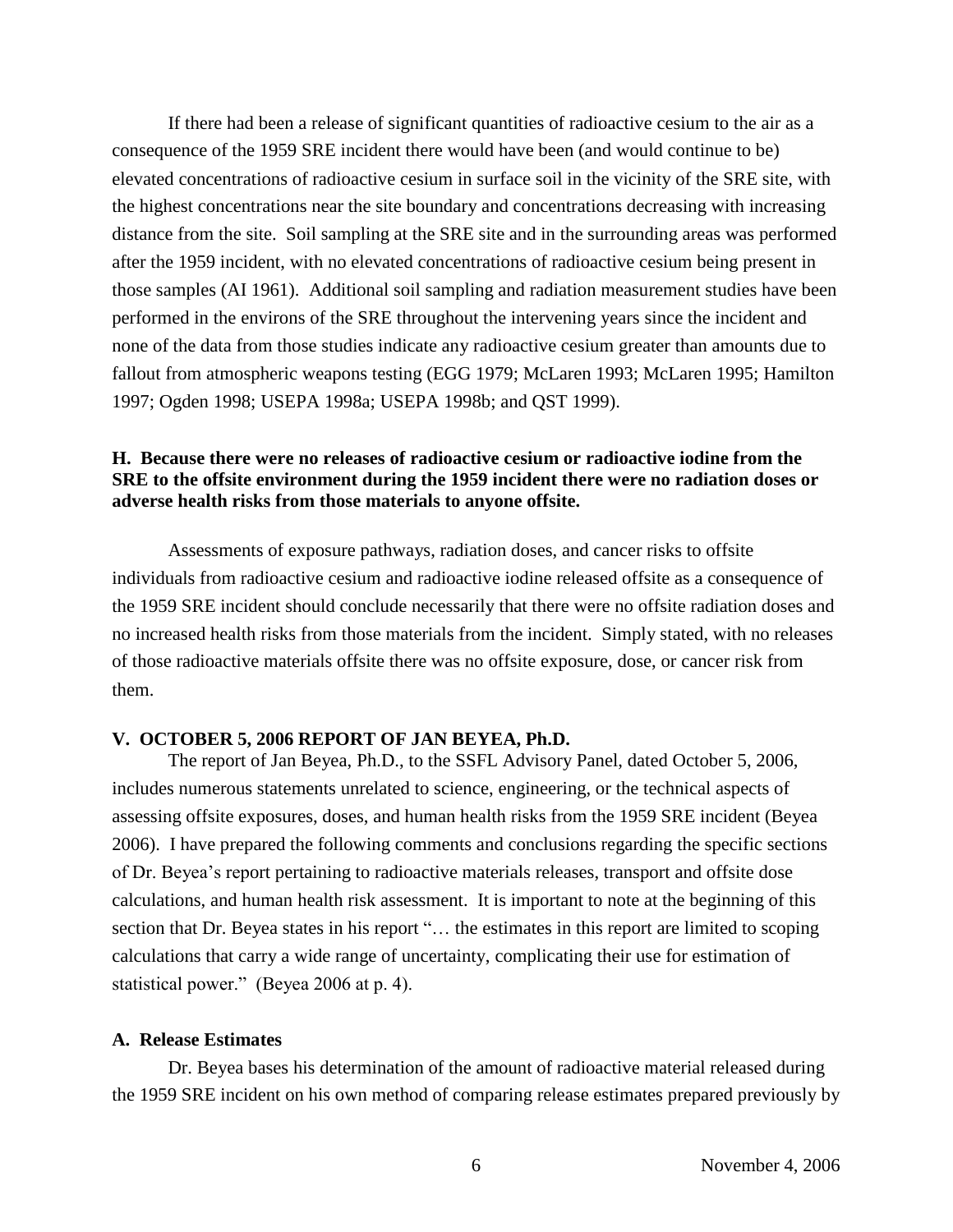If there had been a release of significant quantities of radioactive cesium to the air as a consequence of the 1959 SRE incident there would have been (and would continue to be) elevated concentrations of radioactive cesium in surface soil in the vicinity of the SRE site, with the highest concentrations near the site boundary and concentrations decreasing with increasing distance from the site. Soil sampling at the SRE site and in the surrounding areas was performed after the 1959 incident, with no elevated concentrations of radioactive cesium being present in those samples (AI 1961). Additional soil sampling and radiation measurement studies have been performed in the environs of the SRE throughout the intervening years since the incident and none of the data from those studies indicate any radioactive cesium greater than amounts due to fallout from atmospheric weapons testing (EGG 1979; McLaren 1993; McLaren 1995; Hamilton 1997; Ogden 1998; USEPA 1998a; USEPA 1998b; and QST 1999).

### **H. Because there were no releases of radioactive cesium or radioactive iodine from the SRE to the offsite environment during the 1959 incident there were no radiation doses or adverse health risks from those materials to anyone offsite.**

Assessments of exposure pathways, radiation doses, and cancer risks to offsite individuals from radioactive cesium and radioactive iodine released offsite as a consequence of the 1959 SRE incident should conclude necessarily that there were no offsite radiation doses and no increased health risks from those materials from the incident. Simply stated, with no releases of those radioactive materials offsite there was no offsite exposure, dose, or cancer risk from them.

### **V. OCTOBER 5, 2006 REPORT OF JAN BEYEA, Ph.D.**

The report of Jan Beyea, Ph.D., to the SSFL Advisory Panel, dated October 5, 2006, includes numerous statements unrelated to science, engineering, or the technical aspects of assessing offsite exposures, doses, and human health risks from the 1959 SRE incident (Beyea 2006). I have prepared the following comments and conclusions regarding the specific sections of Dr. Beyea's report pertaining to radioactive materials releases, transport and offsite dose calculations, and human health risk assessment. It is important to note at the beginning of this section that Dr. Beyea states in his report "... the estimates in this report are limited to scoping calculations that carry a wide range of uncertainty, complicating their use for estimation of statistical power." (Beyea 2006 at p. 4).

### **A. Release Estimates**

Dr. Beyea bases his determination of the amount of radioactive material released during the 1959 SRE incident on his own method of comparing release estimates prepared previously by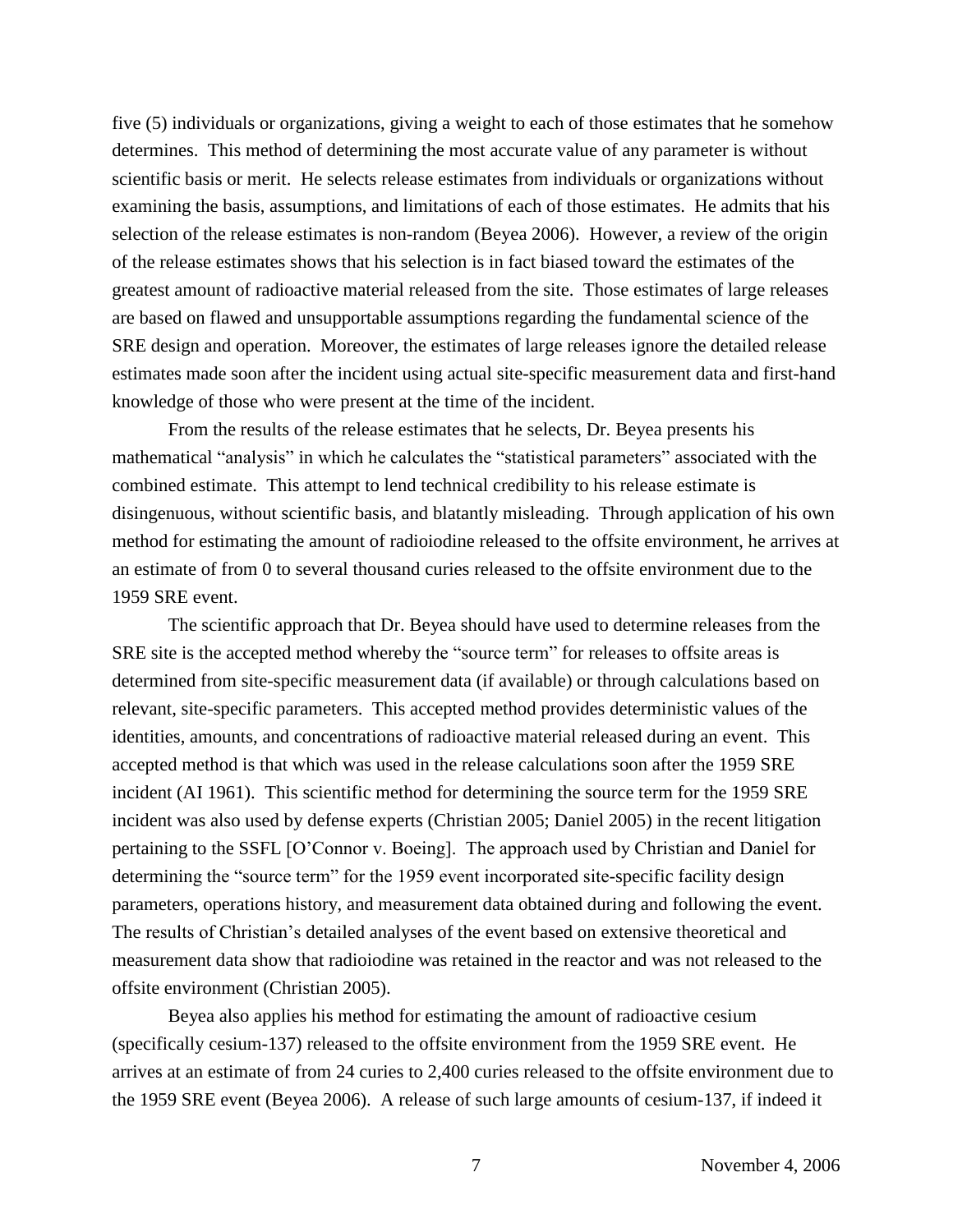five (5) individuals or organizations, giving a weight to each of those estimates that he somehow determines. This method of determining the most accurate value of any parameter is without scientific basis or merit. He selects release estimates from individuals or organizations without examining the basis, assumptions, and limitations of each of those estimates. He admits that his selection of the release estimates is non-random (Beyea 2006). However, a review of the origin of the release estimates shows that his selection is in fact biased toward the estimates of the greatest amount of radioactive material released from the site. Those estimates of large releases are based on flawed and unsupportable assumptions regarding the fundamental science of the SRE design and operation. Moreover, the estimates of large releases ignore the detailed release estimates made soon after the incident using actual site-specific measurement data and first-hand knowledge of those who were present at the time of the incident.

From the results of the release estimates that he selects, Dr. Beyea presents his mathematical "analysis" in which he calculates the "statistical parameters" associated with the combined estimate. This attempt to lend technical credibility to his release estimate is disingenuous, without scientific basis, and blatantly misleading. Through application of his own method for estimating the amount of radioiodine released to the offsite environment, he arrives at an estimate of from 0 to several thousand curies released to the offsite environment due to the 1959 SRE event.

The scientific approach that Dr. Beyea should have used to determine releases from the SRE site is the accepted method whereby the "source term" for releases to offsite areas is determined from site-specific measurement data (if available) or through calculations based on relevant, site-specific parameters. This accepted method provides deterministic values of the identities, amounts, and concentrations of radioactive material released during an event. This accepted method is that which was used in the release calculations soon after the 1959 SRE incident (AI 1961). This scientific method for determining the source term for the 1959 SRE incident was also used by defense experts (Christian 2005; Daniel 2005) in the recent litigation pertaining to the SSFL [O'Connor v. Boeing]. The approach used by Christian and Daniel for determining the "source term" for the 1959 event incorporated site-specific facility design parameters, operations history, and measurement data obtained during and following the event. The results of Christian's detailed analyses of the event based on extensive theoretical and measurement data show that radioiodine was retained in the reactor and was not released to the offsite environment (Christian 2005).

Beyea also applies his method for estimating the amount of radioactive cesium (specifically cesium-137) released to the offsite environment from the 1959 SRE event. He arrives at an estimate of from 24 curies to 2,400 curies released to the offsite environment due to the 1959 SRE event (Beyea 2006). A release of such large amounts of cesium-137, if indeed it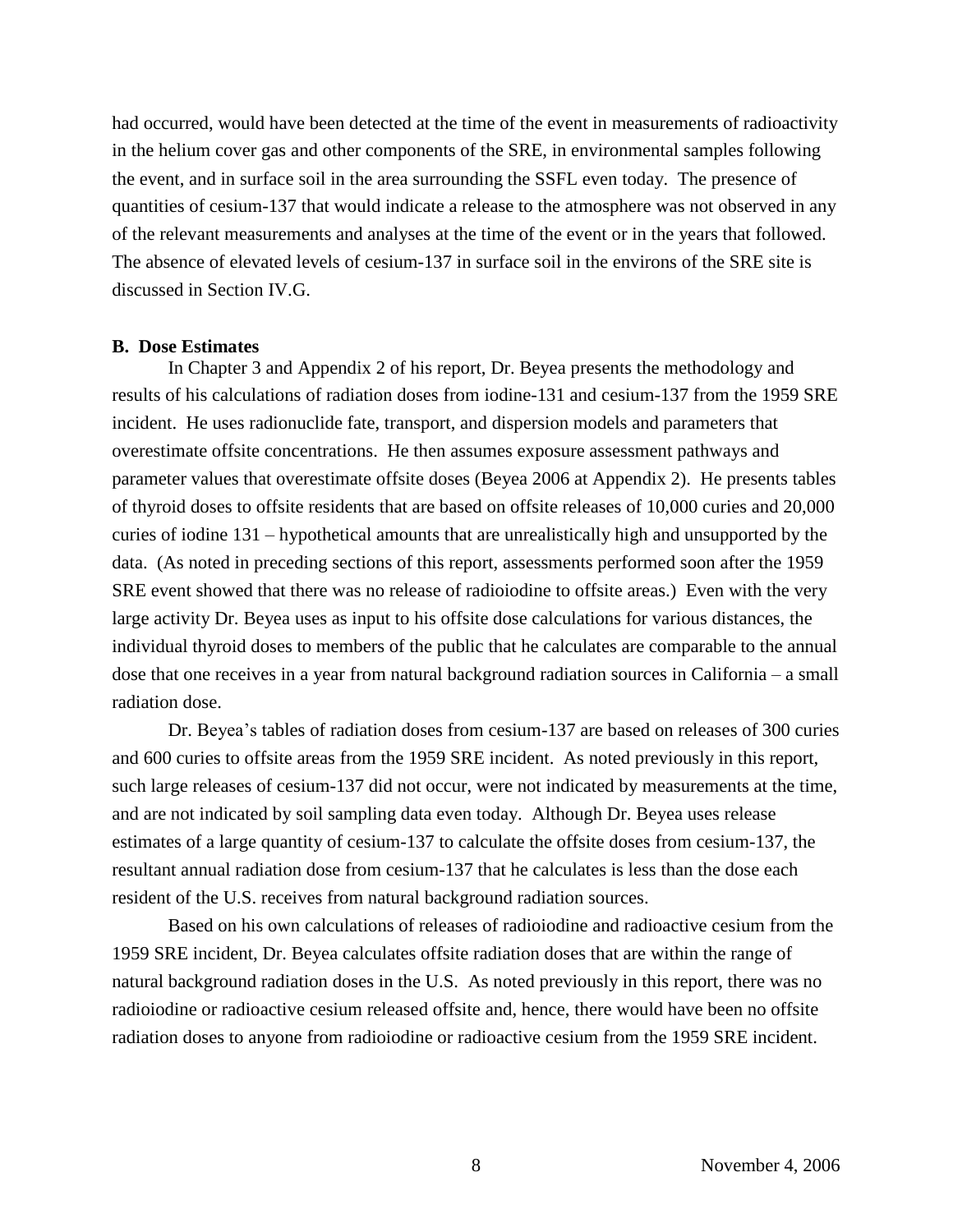had occurred, would have been detected at the time of the event in measurements of radioactivity in the helium cover gas and other components of the SRE, in environmental samples following the event, and in surface soil in the area surrounding the SSFL even today. The presence of quantities of cesium-137 that would indicate a release to the atmosphere was not observed in any of the relevant measurements and analyses at the time of the event or in the years that followed. The absence of elevated levels of cesium-137 in surface soil in the environs of the SRE site is discussed in Section IV.G.

### **B. Dose Estimates**

In Chapter 3 and Appendix 2 of his report, Dr. Beyea presents the methodology and results of his calculations of radiation doses from iodine-131 and cesium-137 from the 1959 SRE incident. He uses radionuclide fate, transport, and dispersion models and parameters that overestimate offsite concentrations. He then assumes exposure assessment pathways and parameter values that overestimate offsite doses (Beyea 2006 at Appendix 2). He presents tables of thyroid doses to offsite residents that are based on offsite releases of 10,000 curies and 20,000 curies of iodine 131 –hypothetical amounts that are unrealistically high and unsupported by the data. (As noted in preceding sections of this report, assessments performed soon after the 1959 SRE event showed that there was no release of radioiodine to offsite areas.) Even with the very large activity Dr. Beyea uses as input to his offsite dose calculations for various distances, the individual thyroid doses to members of the public that he calculates are comparable to the annual dose that one receives in a year from natural background radiation sources in California – a small radiation dose.

Dr. Beyea's tables of radiation doses from cesium-137 are based on releases of 300 curies and 600 curies to offsite areas from the 1959 SRE incident. As noted previously in this report, such large releases of cesium-137 did not occur, were not indicated by measurements at the time, and are not indicated by soil sampling data even today. Although Dr. Beyea uses release estimates of a large quantity of cesium-137 to calculate the offsite doses from cesium-137, the resultant annual radiation dose from cesium-137 that he calculates is less than the dose each resident of the U.S. receives from natural background radiation sources.

Based on his own calculations of releases of radioiodine and radioactive cesium from the 1959 SRE incident, Dr. Beyea calculates offsite radiation doses that are within the range of natural background radiation doses in the U.S. As noted previously in this report, there was no radioiodine or radioactive cesium released offsite and, hence, there would have been no offsite radiation doses to anyone from radioiodine or radioactive cesium from the 1959 SRE incident.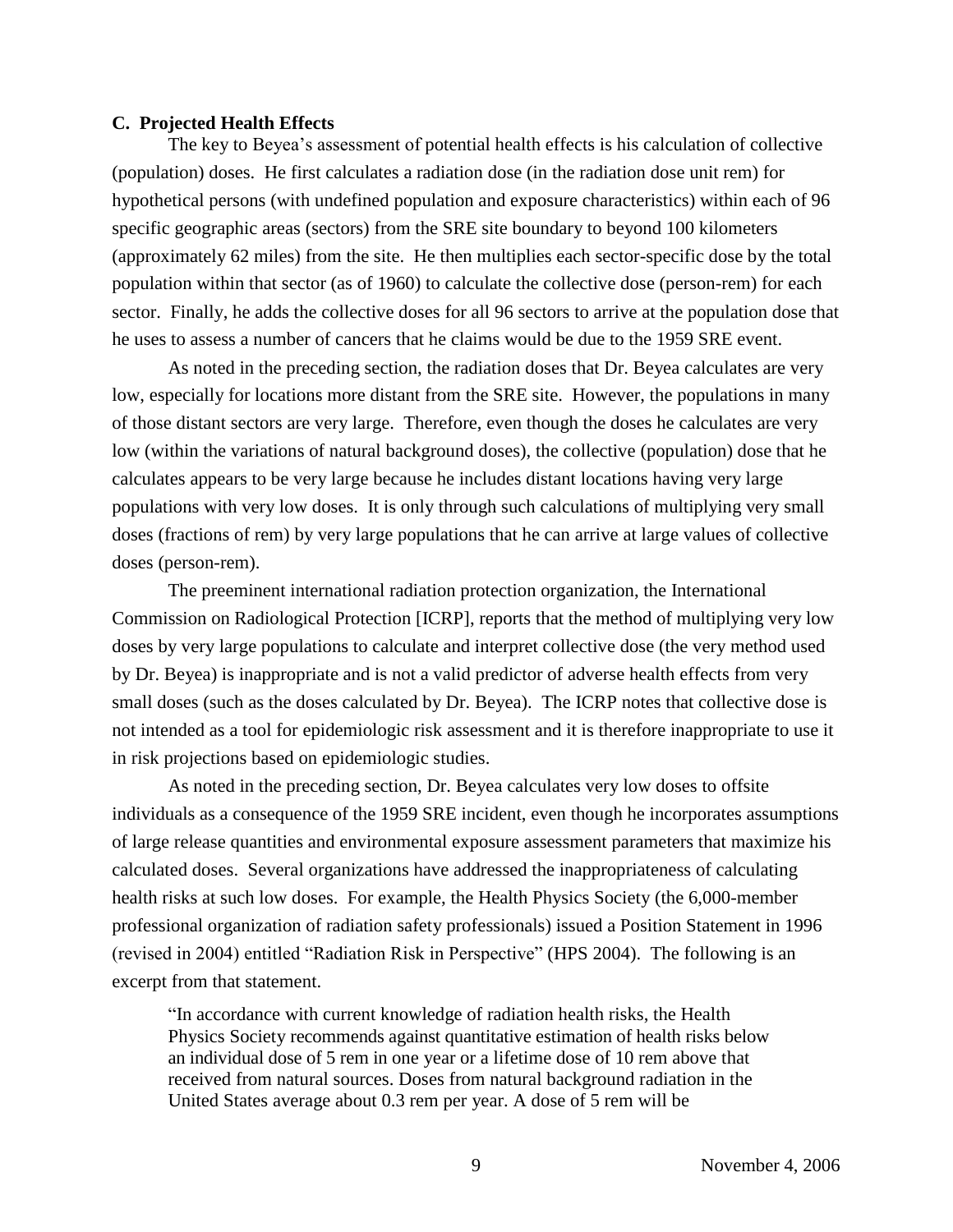### **C. Projected Health Effects**

The key to Beyea's assessment of potential health effects is his calculation of collective (population) doses. He first calculates a radiation dose (in the radiation dose unit rem) for hypothetical persons (with undefined population and exposure characteristics) within each of 96 specific geographic areas (sectors) from the SRE site boundary to beyond 100 kilometers (approximately 62 miles) from the site. He then multiplies each sector-specific dose by the total population within that sector (as of 1960) to calculate the collective dose (person-rem) for each sector. Finally, he adds the collective doses for all 96 sectors to arrive at the population dose that he uses to assess a number of cancers that he claims would be due to the 1959 SRE event.

As noted in the preceding section, the radiation doses that Dr. Beyea calculates are very low, especially for locations more distant from the SRE site. However, the populations in many of those distant sectors are very large. Therefore, even though the doses he calculates are very low (within the variations of natural background doses), the collective (population) dose that he calculates appears to be very large because he includes distant locations having very large populations with very low doses. It is only through such calculations of multiplying very small doses (fractions of rem) by very large populations that he can arrive at large values of collective doses (person-rem).

The preeminent international radiation protection organization, the International Commission on Radiological Protection [ICRP], reports that the method of multiplying very low doses by very large populations to calculate and interpret collective dose (the very method used by Dr. Beyea) is inappropriate and is not a valid predictor of adverse health effects from very small doses (such as the doses calculated by Dr. Beyea). The ICRP notes that collective dose is not intended as a tool for epidemiologic risk assessment and it is therefore inappropriate to use it in risk projections based on epidemiologic studies.

As noted in the preceding section, Dr. Beyea calculates very low doses to offsite individuals as a consequence of the 1959 SRE incident, even though he incorporates assumptions of large release quantities and environmental exposure assessment parameters that maximize his calculated doses. Several organizations have addressed the inappropriateness of calculating health risks at such low doses. For example, the Health Physics Society (the 6,000-member professional organization of radiation safety professionals) issued a Position Statement in 1996 (revised in 2004) entitled "Radiation Risk in Perspective" (HPS 2004). The following is an excerpt from that statement.

"In accordance with current knowledge of radiation health risks, the Health Physics Society recommends against quantitative estimation of health risks below an individual dose of 5 rem in one year or a lifetime dose of 10 rem above that received from natural sources. Doses from natural background radiation in the United States average about 0.3 rem per year. A dose of 5 rem will be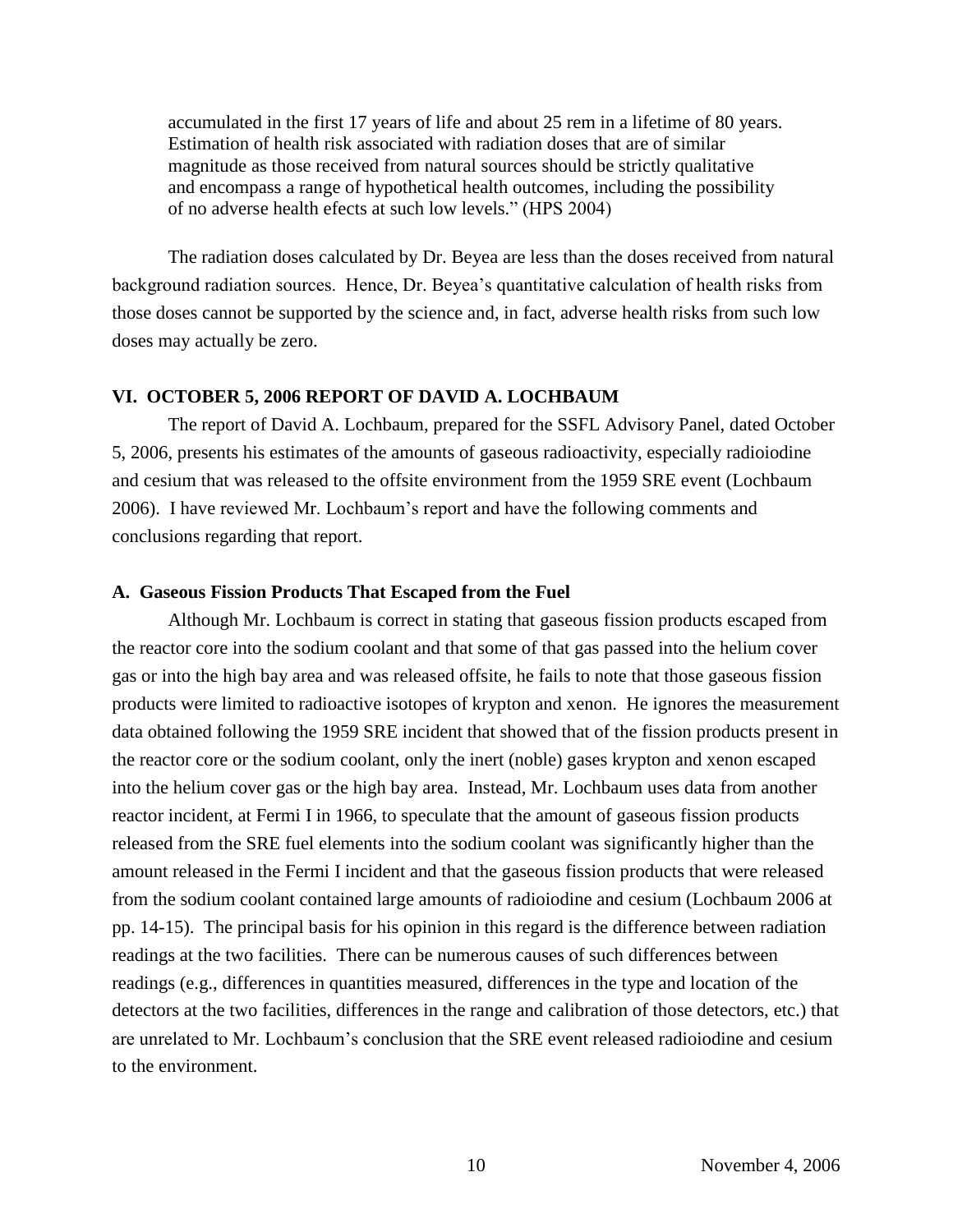accumulated in the first 17 years of life and about 25 rem in a lifetime of 80 years. Estimation of health risk associated with radiation doses that are of similar magnitude as those received from natural sources should be strictly qualitative and encompass a range of hypothetical health outcomes, including the possibility of no adverse health efects at such low levels." (HPS 2004)

The radiation doses calculated by Dr. Beyea are less than the doses received from natural background radiation sources. Hence, Dr. Beyea's quantitative calculation of health risks from those doses cannot be supported by the science and, in fact, adverse health risks from such low doses may actually be zero.

### **VI. OCTOBER 5, 2006 REPORT OF DAVID A. LOCHBAUM**

The report of David A. Lochbaum, prepared for the SSFL Advisory Panel, dated October 5, 2006, presents his estimates of the amounts of gaseous radioactivity, especially radioiodine and cesium that was released to the offsite environment from the 1959 SRE event (Lochbaum 2006). I have reviewed Mr. Lochbaum's report and have the following comments and conclusions regarding that report.

### **A. Gaseous Fission Products That Escaped from the Fuel**

Although Mr. Lochbaum is correct in stating that gaseous fission products escaped from the reactor core into the sodium coolant and that some of that gas passed into the helium cover gas or into the high bay area and was released offsite, he fails to note that those gaseous fission products were limited to radioactive isotopes of krypton and xenon. He ignores the measurement data obtained following the 1959 SRE incident that showed that of the fission products present in the reactor core or the sodium coolant, only the inert (noble) gases krypton and xenon escaped into the helium cover gas or the high bay area. Instead, Mr. Lochbaum uses data from another reactor incident, at Fermi I in 1966, to speculate that the amount of gaseous fission products released from the SRE fuel elements into the sodium coolant was significantly higher than the amount released in the Fermi I incident and that the gaseous fission products that were released from the sodium coolant contained large amounts of radioiodine and cesium (Lochbaum 2006 at pp. 14-15). The principal basis for his opinion in this regard is the difference between radiation readings at the two facilities. There can be numerous causes of such differences between readings (e.g., differences in quantities measured, differences in the type and location of the detectors at the two facilities, differences in the range and calibration of those detectors, etc.) that are unrelated to Mr. Lochbaum's conclusion that the SRE event released radioiodine and cesium to the environment.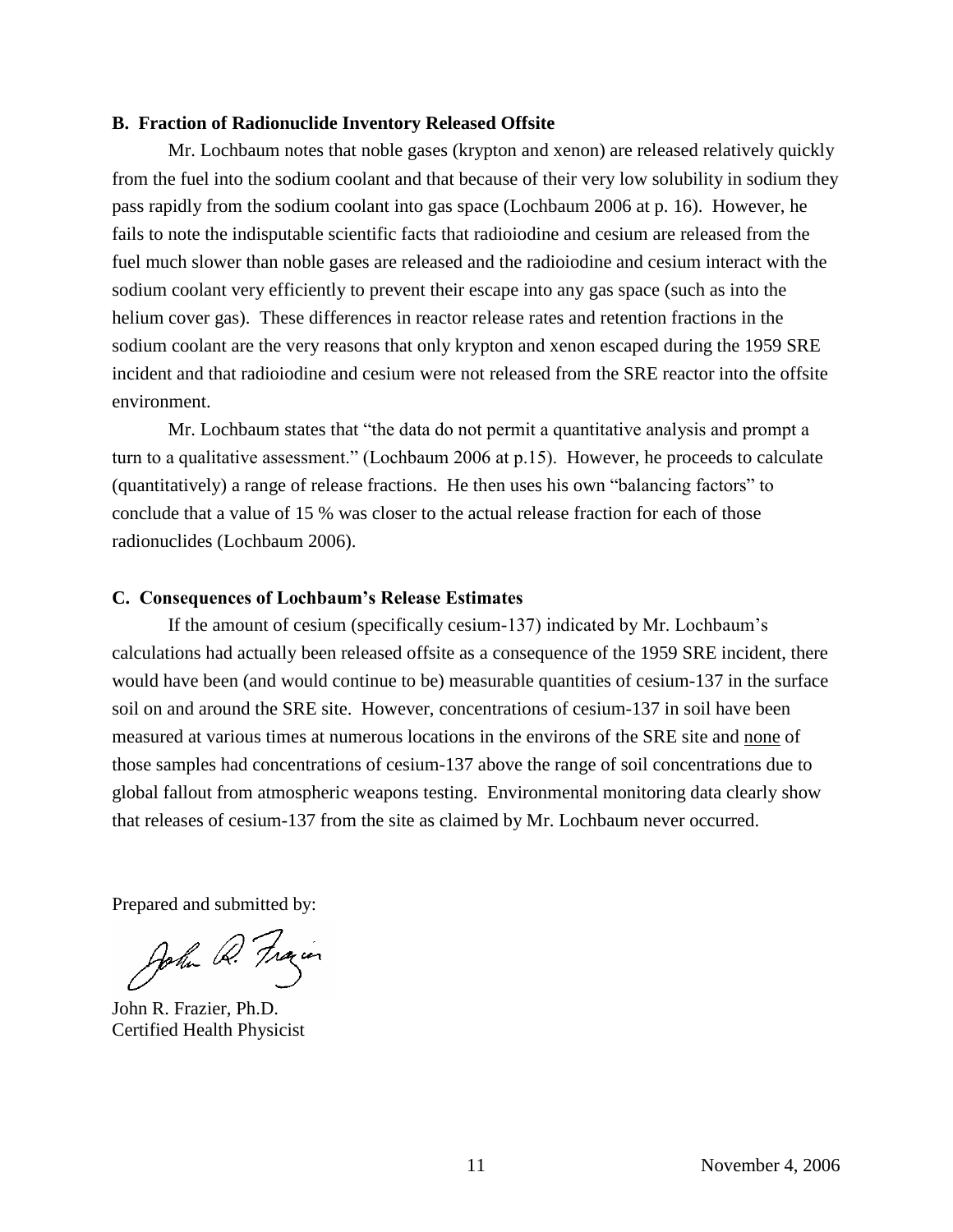### **B. Fraction of Radionuclide Inventory Released Offsite**

Mr. Lochbaum notes that noble gases (krypton and xenon) are released relatively quickly from the fuel into the sodium coolant and that because of their very low solubility in sodium they pass rapidly from the sodium coolant into gas space (Lochbaum 2006 at p. 16). However, he fails to note the indisputable scientific facts that radioiodine and cesium are released from the fuel much slower than noble gases are released and the radioiodine and cesium interact with the sodium coolant very efficiently to prevent their escape into any gas space (such as into the helium cover gas). These differences in reactor release rates and retention fractions in the sodium coolant are the very reasons that only krypton and xenon escaped during the 1959 SRE incident and that radioiodine and cesium were not released from the SRE reactor into the offsite environment.

Mr. Lochbaum states that "the data do not permit a quantitative analysis and prompt a turn to a qualitative assessment." (Lochbaum 2006 at p.15). However, he proceeds to calculate (quantitatively) a range of release fractions. He then uses his own "balancing factors" to conclude that a value of 15 % was closer to the actual release fraction for each of those radionuclides (Lochbaum 2006).

#### **C.** Consequences of Lochbaum's Release Estimates

If the amount of cesium (specifically cesium-137) indicated by Mr. Lochbaum's calculations had actually been released offsite as a consequence of the 1959 SRE incident, there would have been (and would continue to be) measurable quantities of cesium-137 in the surface soil on and around the SRE site. However, concentrations of cesium-137 in soil have been measured at various times at numerous locations in the environs of the SRE site and none of those samples had concentrations of cesium-137 above the range of soil concentrations due to global fallout from atmospheric weapons testing. Environmental monitoring data clearly show that releases of cesium-137 from the site as claimed by Mr. Lochbaum never occurred.

Prepared and submitted by:

John Q. Frain

John R. Frazier, Ph.D. Certified Health Physicist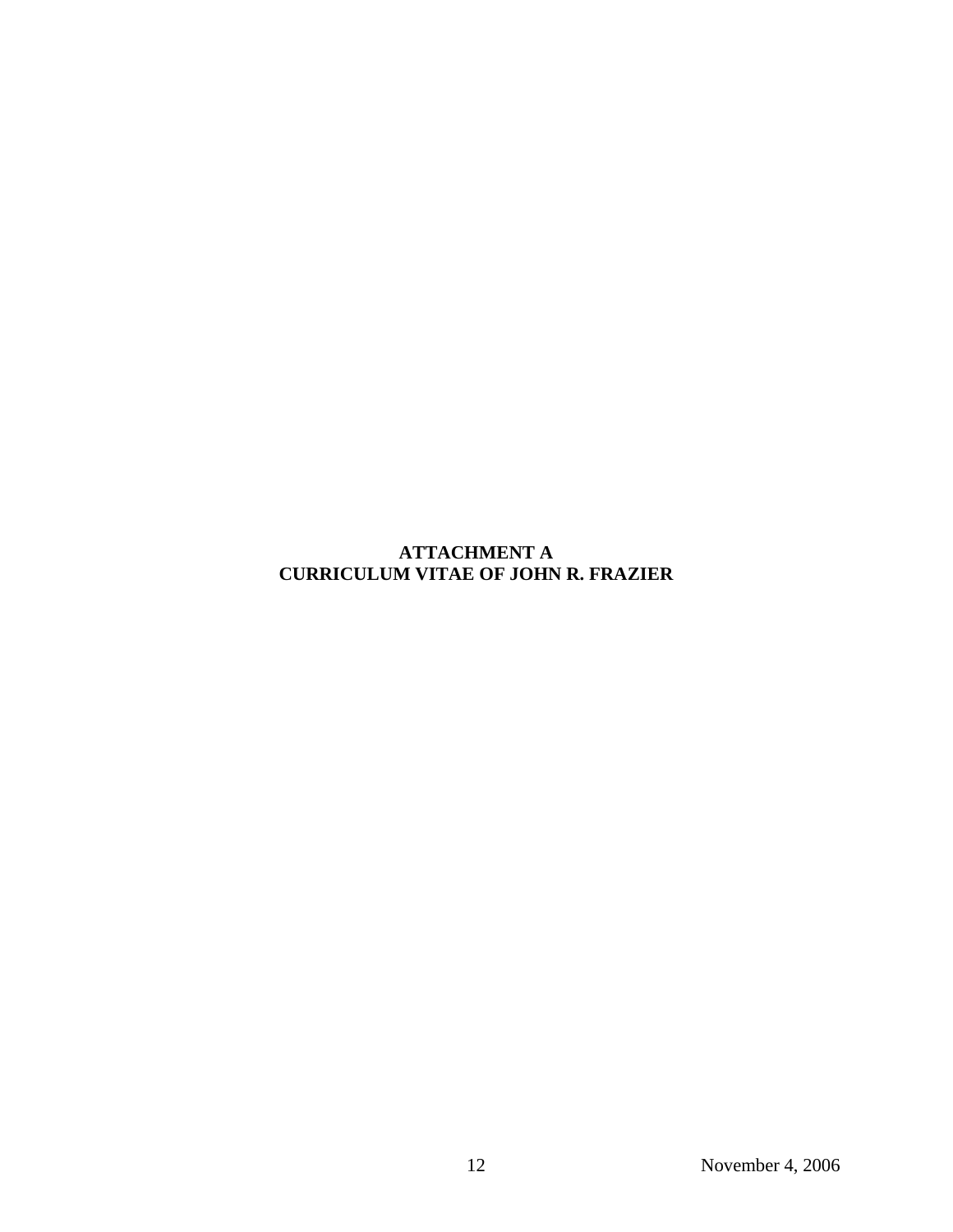## **ATTACHMENT A CURRICULUM VITAE OF JOHN R. FRAZIER**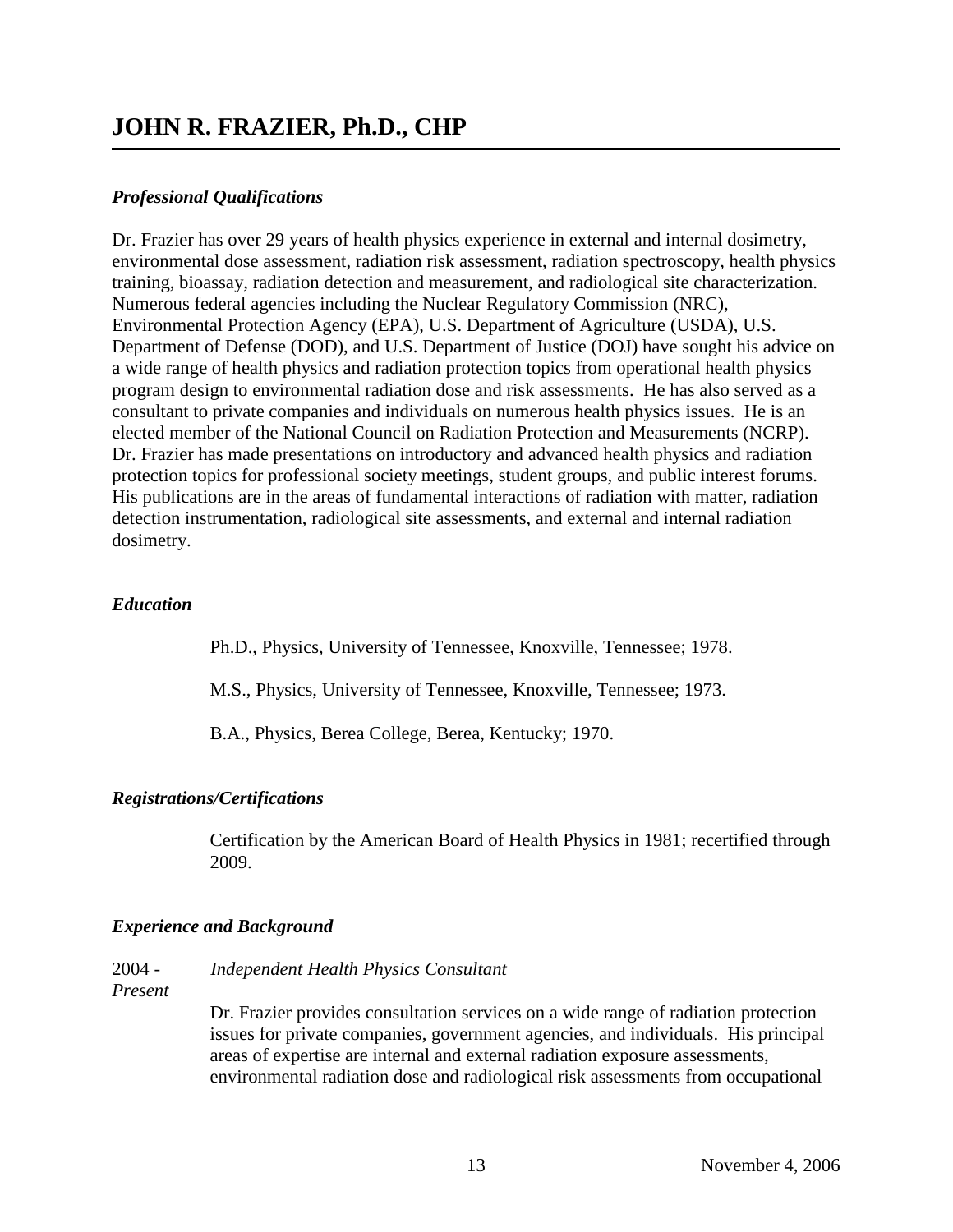# **JOHN R. FRAZIER, Ph.D., CHP**

## *Professional Qualifications*

Dr. Frazier has over 29 years of health physics experience in external and internal dosimetry, environmental dose assessment, radiation risk assessment, radiation spectroscopy, health physics training, bioassay, radiation detection and measurement, and radiological site characterization. Numerous federal agencies including the Nuclear Regulatory Commission (NRC), Environmental Protection Agency (EPA), U.S. Department of Agriculture (USDA), U.S. Department of Defense (DOD), and U.S. Department of Justice (DOJ) have sought his advice on a wide range of health physics and radiation protection topics from operational health physics program design to environmental radiation dose and risk assessments. He has also served as a consultant to private companies and individuals on numerous health physics issues. He is an elected member of the National Council on Radiation Protection and Measurements (NCRP). Dr. Frazier has made presentations on introductory and advanced health physics and radiation protection topics for professional society meetings, student groups, and public interest forums. His publications are in the areas of fundamental interactions of radiation with matter, radiation detection instrumentation, radiological site assessments, and external and internal radiation dosimetry.

### *Education*

Ph.D., Physics, University of Tennessee, Knoxville, Tennessee; 1978.

M.S., Physics, University of Tennessee, Knoxville, Tennessee; 1973.

B.A., Physics, Berea College, Berea, Kentucky; 1970.

### *Registrations/Certifications*

Certification by the American Board of Health Physics in 1981; recertified through 2009.

### *Experience and Background*

### 2004 - *Independent Health Physics Consultant*

*Present*

Dr. Frazier provides consultation services on a wide range of radiation protection issues for private companies, government agencies, and individuals. His principal areas of expertise are internal and external radiation exposure assessments, environmental radiation dose and radiological risk assessments from occupational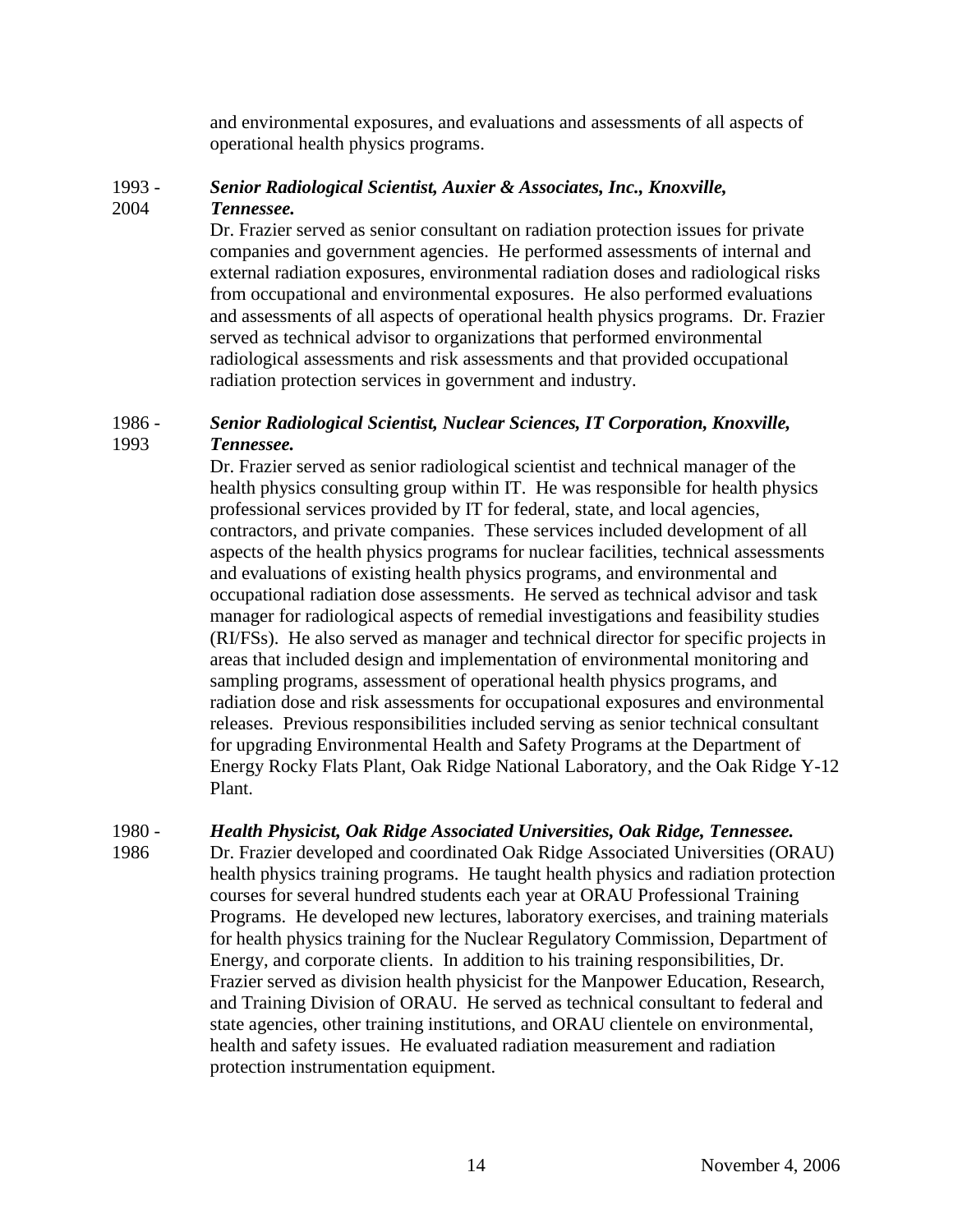and environmental exposures, and evaluations and assessments of all aspects of operational health physics programs.

## 1993 - *Senior Radiological Scientist, Auxier & Associates, Inc., Knoxville,* 2004 *Tennessee.*

Dr. Frazier served as senior consultant on radiation protection issues for private companies and government agencies. He performed assessments of internal and external radiation exposures, environmental radiation doses and radiological risks from occupational and environmental exposures. He also performed evaluations and assessments of all aspects of operational health physics programs. Dr. Frazier served as technical advisor to organizations that performed environmental radiological assessments and risk assessments and that provided occupational radiation protection services in government and industry.

## 1986 - *Senior Radiological Scientist, Nuclear Sciences, IT Corporation, Knoxville,* 1993 *Tennessee.*

Dr. Frazier served as senior radiological scientist and technical manager of the health physics consulting group within IT. He was responsible for health physics professional services provided by IT for federal, state, and local agencies, contractors, and private companies. These services included development of all aspects of the health physics programs for nuclear facilities, technical assessments and evaluations of existing health physics programs, and environmental and occupational radiation dose assessments. He served as technical advisor and task manager for radiological aspects of remedial investigations and feasibility studies (RI/FSs). He also served as manager and technical director for specific projects in areas that included design and implementation of environmental monitoring and sampling programs, assessment of operational health physics programs, and radiation dose and risk assessments for occupational exposures and environmental releases. Previous responsibilities included serving as senior technical consultant for upgrading Environmental Health and Safety Programs at the Department of Energy Rocky Flats Plant, Oak Ridge National Laboratory, and the Oak Ridge Y-12 Plant.

## 1980 - *Health Physicist, Oak Ridge Associated Universities, Oak Ridge, Tennessee.*

1986 Dr. Frazier developed and coordinated Oak Ridge Associated Universities (ORAU) health physics training programs. He taught health physics and radiation protection courses for several hundred students each year at ORAU Professional Training Programs. He developed new lectures, laboratory exercises, and training materials for health physics training for the Nuclear Regulatory Commission, Department of Energy, and corporate clients. In addition to his training responsibilities, Dr. Frazier served as division health physicist for the Manpower Education, Research, and Training Division of ORAU. He served as technical consultant to federal and state agencies, other training institutions, and ORAU clientele on environmental, health and safety issues. He evaluated radiation measurement and radiation protection instrumentation equipment.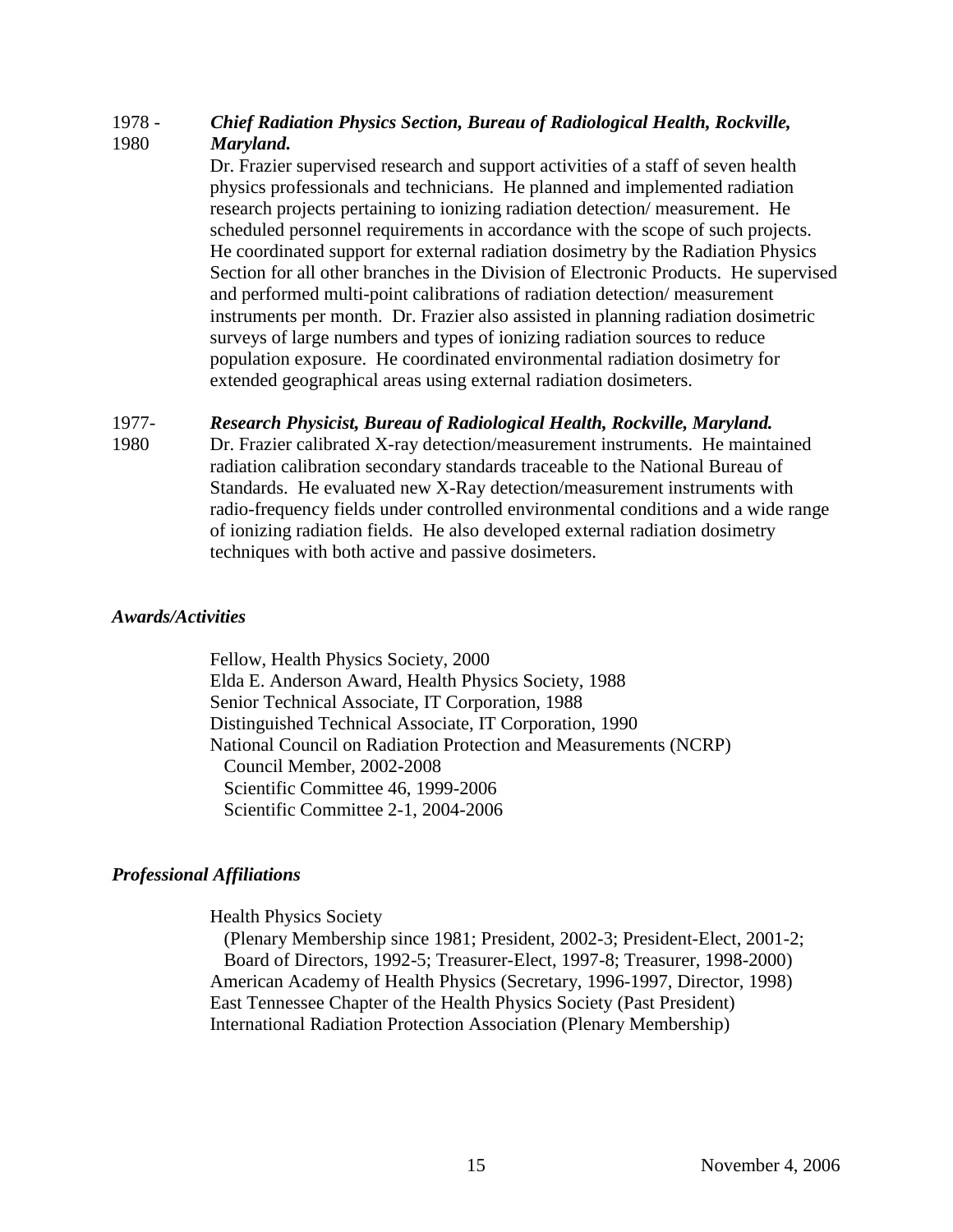## 1978 - *Chief Radiation Physics Section, Bureau of Radiological Health, Rockville,* 1980 *Maryland.*

Dr. Frazier supervised research and support activities of a staff of seven health physics professionals and technicians. He planned and implemented radiation research projects pertaining to ionizing radiation detection/ measurement. He scheduled personnel requirements in accordance with the scope of such projects. He coordinated support for external radiation dosimetry by the Radiation Physics Section for all other branches in the Division of Electronic Products. He supervised and performed multi-point calibrations of radiation detection/ measurement instruments per month. Dr. Frazier also assisted in planning radiation dosimetric surveys of large numbers and types of ionizing radiation sources to reduce population exposure. He coordinated environmental radiation dosimetry for extended geographical areas using external radiation dosimeters.

## 1977- *Research Physicist, Bureau of Radiological Health, Rockville, Maryland.*

1980 Dr. Frazier calibrated X-ray detection/measurement instruments. He maintained radiation calibration secondary standards traceable to the National Bureau of Standards. He evaluated new X-Ray detection/measurement instruments with radio-frequency fields under controlled environmental conditions and a wide range of ionizing radiation fields. He also developed external radiation dosimetry techniques with both active and passive dosimeters.

## *Awards/Activities*

Fellow, Health Physics Society, 2000 Elda E. Anderson Award, Health Physics Society, 1988 Senior Technical Associate, IT Corporation, 1988 Distinguished Technical Associate, IT Corporation, 1990 National Council on Radiation Protection and Measurements (NCRP) Council Member, 2002-2008 Scientific Committee 46, 1999-2006 Scientific Committee 2-1, 2004-2006

## *Professional Affiliations*

Health Physics Society

(Plenary Membership since 1981; President, 2002-3; President-Elect, 2001-2; Board of Directors, 1992-5; Treasurer-Elect, 1997-8; Treasurer, 1998-2000) American Academy of Health Physics (Secretary, 1996-1997, Director, 1998) East Tennessee Chapter of the Health Physics Society (Past President) International Radiation Protection Association (Plenary Membership)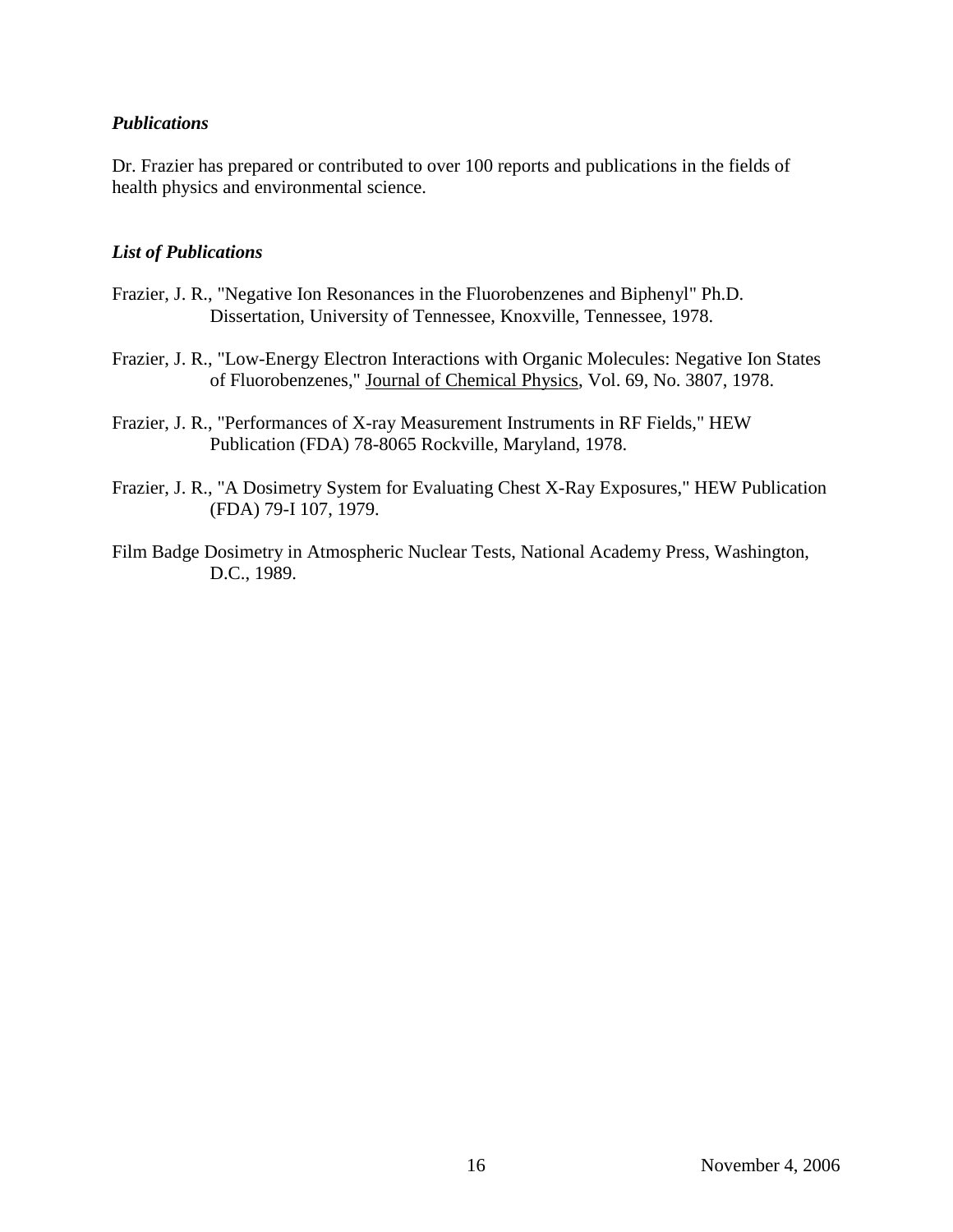## *Publications*

Dr. Frazier has prepared or contributed to over 100 reports and publications in the fields of health physics and environmental science.

## *List of Publications*

- Frazier, J. R., "Negative Ion Resonances in the Fluorobenzenes and Biphenyl" Ph.D. Dissertation, University of Tennessee, Knoxville, Tennessee, 1978.
- Frazier, J. R., "Low-Energy Electron Interactions with Organic Molecules: Negative Ion States of Fluorobenzenes," Journal of Chemical Physics, Vol. 69, No. 3807, 1978.
- Frazier, J. R., "Performances of X-ray Measurement Instruments in RF Fields," HEW Publication (FDA) 78-8065 Rockville, Maryland, 1978.
- Frazier, J. R., "A Dosimetry System for Evaluating Chest X-Ray Exposures," HEW Publication (FDA) 79-I 107, 1979.
- Film Badge Dosimetry in Atmospheric Nuclear Tests, National Academy Press, Washington, D.C., 1989.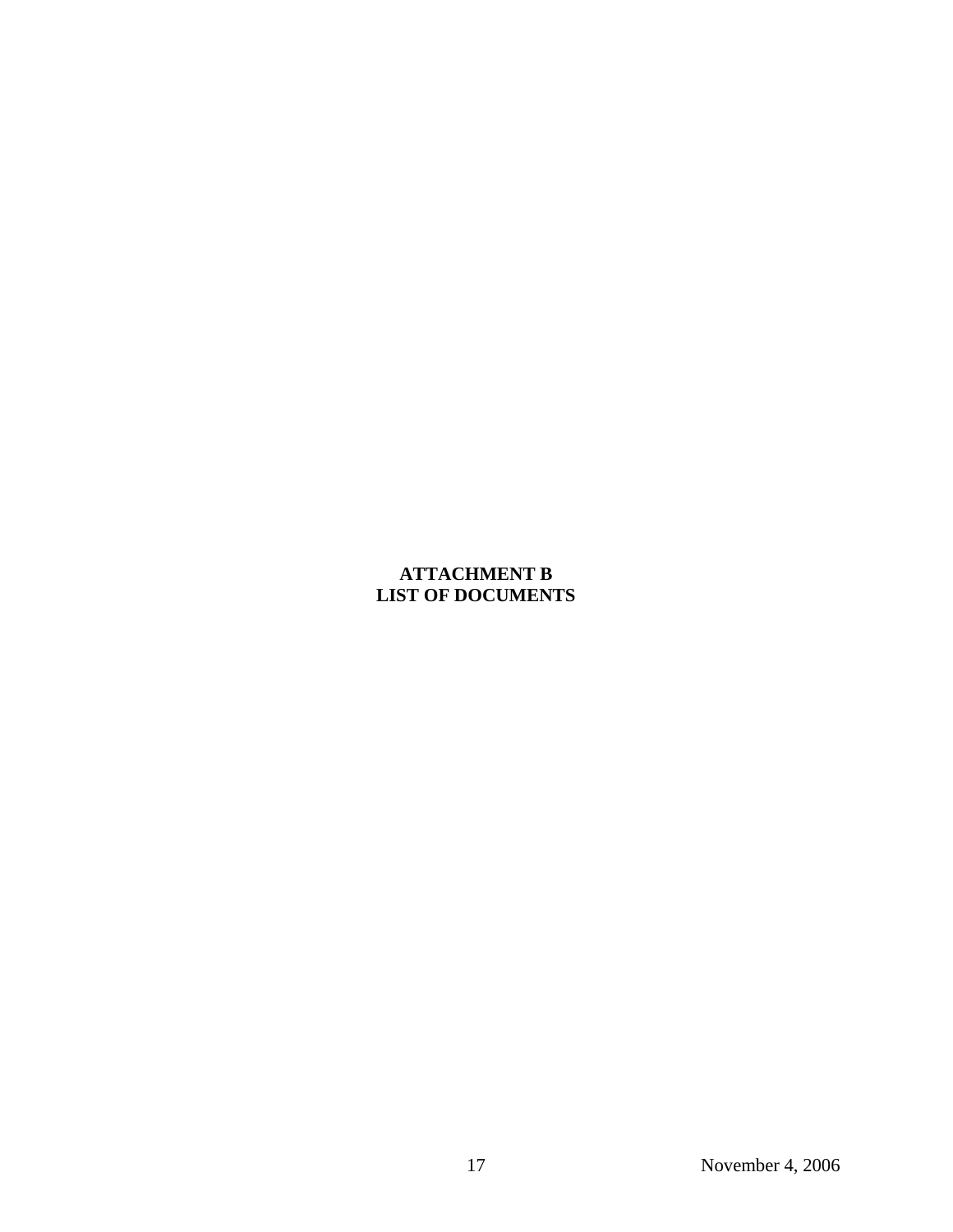# **ATTACHMENT B LIST OF DOCUMENTS**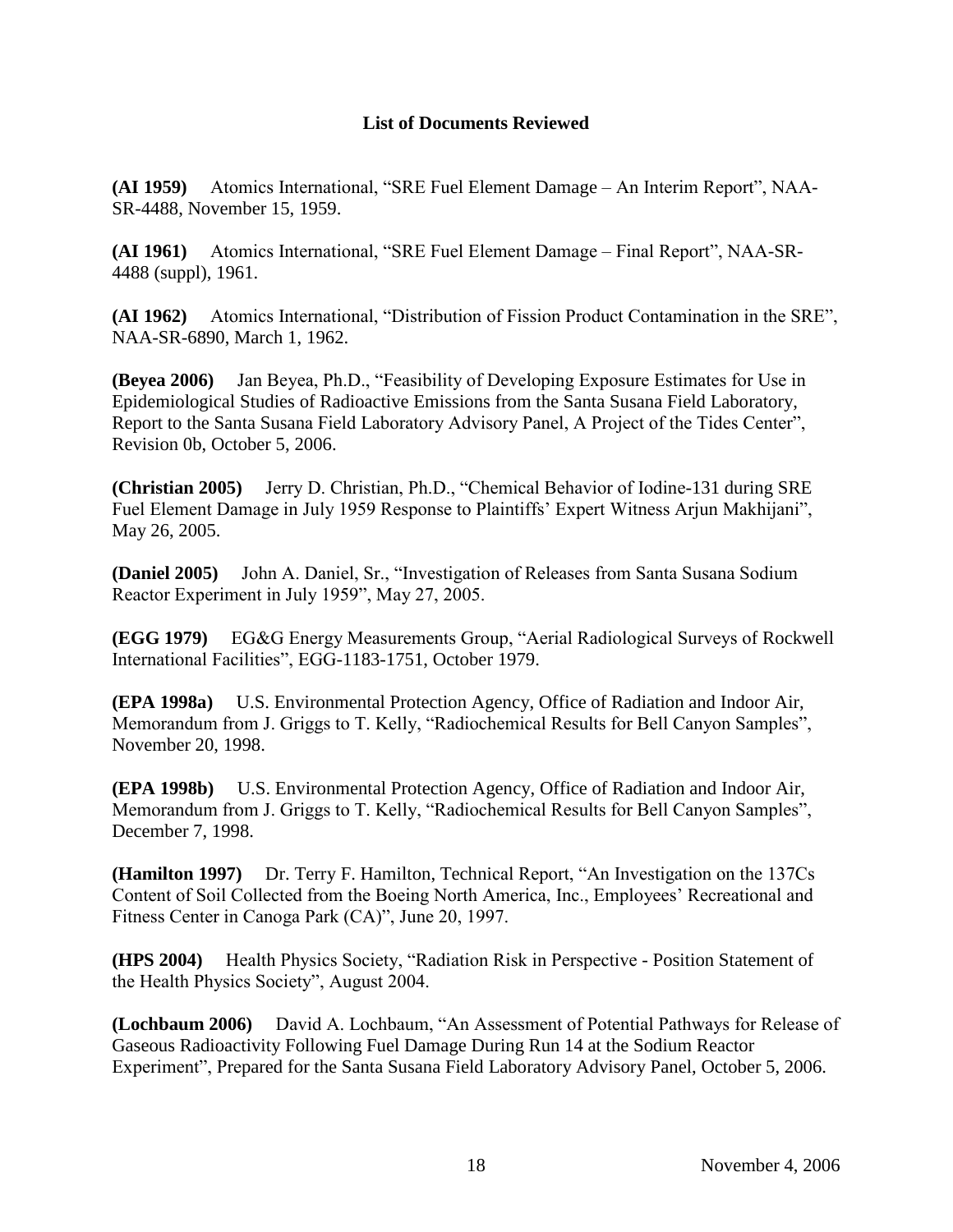## **List of Documents Reviewed**

**(AI 1959)** Atomics International, "SRE Fuel Element Damage – An Interim Report", NAA-SR-4488, November 15, 1959.

**(AI 1961)** Atomics International, "SRE Fuel Element Damage – Final Report", NAA-SR-4488 (suppl), 1961.

**(AI 1962)** Atomics International, "Distribution of Fission Product Contamination in the SRE", NAA-SR-6890, March 1, 1962.

**(Beyea 2006)** Jan Beyea, Ph.D., "Feasibility of Developing Exposure Estimates for Use in Epidemiological Studies of Radioactive Emissions from the Santa Susana Field Laboratory, Report to the Santa Susana Field Laboratory Advisory Panel, A Project of the Tides Center", Revision 0b, October 5, 2006.

**(Christian 2005)** Jerry D. Christian, Ph.D., "Chemical Behavior of Iodine-131 during SRE Fuel Element Damage in July 1959 Response to Plaintiffs' Expert Witness Arjun Makhijani", May 26, 2005.

**(Daniel 2005)** John A. Daniel, Sr., "Investigation of Releases from Santa Susana Sodium Reactor Experiment in July 1959", May 27, 2005.

**(EGG 1979)** EG&G Energy Measurements Group, "Aerial Radiological Surveys of Rockwell International Facilities", EGG-1183-1751, October 1979.

**(EPA 1998a)** U.S. Environmental Protection Agency, Office of Radiation and Indoor Air, Memorandum from J. Griggs to T. Kelly, "Radiochemical Results for Bell Canyon Samples", November 20, 1998.

**(EPA 1998b)** U.S. Environmental Protection Agency, Office of Radiation and Indoor Air, Memorandum from J. Griggs to T. Kelly, "Radiochemical Results for Bell Canyon Samples", December 7, 1998.

**(Hamilton 1997)** Dr. Terry F. Hamilton, Technical Report, "An Investigation on the 137Cs Content of Soil Collected from the Boeing North America, Inc., Employees' Recreational and Fitness Center in Canoga Park (CA)", June 20, 1997.

**(HPS 2004)** Health Physics Society, "Radiation Risk in Perspective - Position Statement of the Health Physics Society", August 2004.

**(Lochbaum 2006)** David A. Lochbaum, "An Assessment of Potential Pathways for Release of Gaseous Radioactivity Following Fuel Damage During Run 14 at the Sodium Reactor Experiment", Prepared for the Santa Susana Field Laboratory Advisory Panel, October 5, 2006.